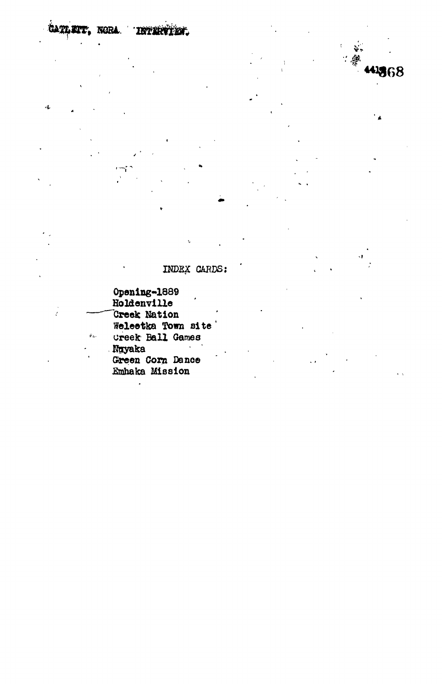CATLETT, NORA. TRYMPETER.

 $\sqrt{3}$ 

## INDEX CARDS:

一般

4368

Opening-1889<br>Holdenville **Creek Nation** Weleetka Town site  $\hat{\theta}_{\Delta}$  . Creek Ball Games Ngyaka<br>Green Corn Dance<br>Emhaka Mission

 $\ddot{\phantom{0}}$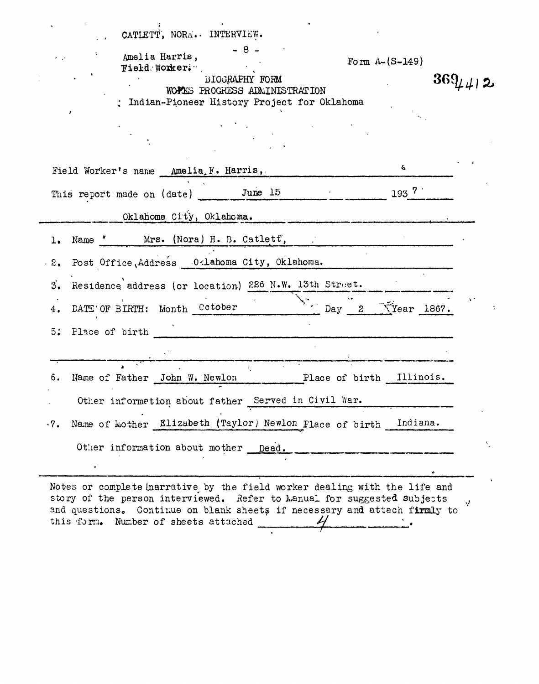| CATLETT, NORA. INTERVIEW.<br>$-8 -$<br>Amelia Harris,<br>Form $A - (S - 149)$<br>Field Worker;",<br>BIOGRAPHY FORM<br>WOPAS PROGRESS ADMINISTRATION<br>: Indian-Pioneer History Project for Oklahoma | $369\mu$ 412 |
|------------------------------------------------------------------------------------------------------------------------------------------------------------------------------------------------------|--------------|
|                                                                                                                                                                                                      |              |
| ÷.<br>Field Worker's name Amelia F. Harris,                                                                                                                                                          |              |
| $193 \, 7 \,$<br>This report made on (date) June 15                                                                                                                                                  |              |
| Oklahoma City, Oklahoma.                                                                                                                                                                             |              |
| Name * Mrs. (Nora) H. B. Catlett,<br>ı.                                                                                                                                                              |              |
| Post Office, Address O <lahoma city,="" oklahoma.<br=""><math>\cdot</math> 2,</lahoma>                                                                                                               |              |
| Residence address (or location) 226 N.W. 13th Street.<br>3.                                                                                                                                          |              |
| $\sum_{i=1}^{N}$ Day 2 $\sum$ Year 1867.<br>DATE OF BIRTH: Month Cotober<br>4.                                                                                                                       |              |
| 5:<br>Place of birth                                                                                                                                                                                 |              |
|                                                                                                                                                                                                      |              |
| Illinois.<br>Name of Father John W. Newlon<br>6.<br>Place of birth                                                                                                                                   |              |
| Other information about father Served in Civil War.                                                                                                                                                  |              |
| Name of Mother Elizabeth (Taylor) Newlon Flace of birth<br>Indiana.<br>$\cdot 7$ .                                                                                                                   |              |
| Other information about mother Dead.                                                                                                                                                                 | ١.           |
|                                                                                                                                                                                                      |              |
| Notes or complete harrative by the field worker dealing with the life and                                                                                                                            |              |

story of the person interviewed. Refer to Manual for suggested subjects  $\lambda$ and questions. Continue on blank sheets if necessary an<mark>d attach firml</mark>y to this form. Number of sheets attached  $\frac{1}{\sqrt{2}}$  ,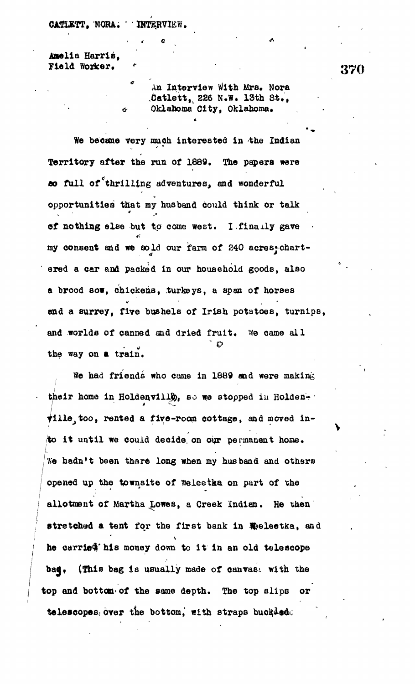## **CATIETT, NORA. INTERVIEW.**

**Anelia Harris, Fiel d Worker. \* . 37 0**

*t*

**An Interview With Mrs. Nora Xatlett,^ 226 N.W. 13th St.,** Oklahoma City, Oklahoma.

**We became Very much interested in the Indian Territory after the run of 1889. The papers were so full of^thrilling adventures, and wonderful opportunities that my husband could think or talk** of nothing else but to come west. I finally gave **my consent and we sold our farm of 240 acresj-chartered a car and packed In our household goods, also a brood sow, chickens, turkeys, a span of horses and a surrey, five bushels of Irish potatoes, turnips, and worlds of canned and dried fruit. We came all** the way on a train.

**We had friends who come in 1889 and were making i ' external in Holden.** So we stopped in Holden.<br> **111e**, too, rented a five-room cottage, and moved into it until we could decide on our permanent home. We hadn't been there long when my husband and others opened up the townsite of Weleetka on part of the allotment of Martha Lowes, a Creek Indian. He then stretched a tent for the first bank in Welectka, and he carried his money down to it in an old telescope bad, (This bag is usually made of canvas: with the top and bottom of the same depth. The top slips or tolescopes, over the bottom, with straps buckled.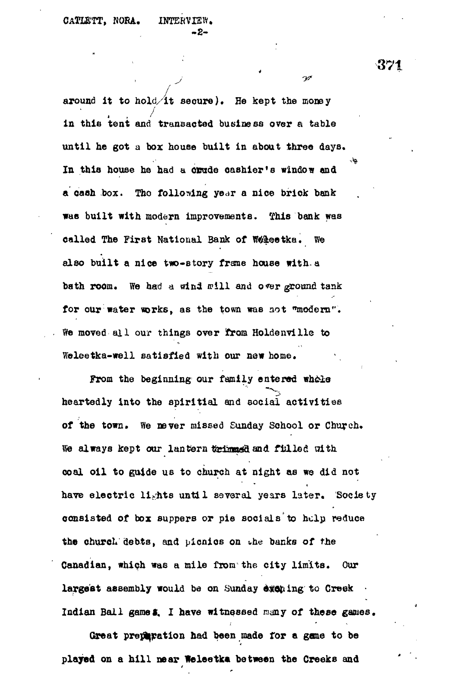**around it to hold/it secure). He kept the money in this tent and transacted business over a table until he got a box house built in about three days.** In this house he had a orude cashier's window and **a each box. Tho following year a nice brick bank was built with modern improvements, tfhis bank was called The First National Bank of Wieetka. We also built a nice two-Btory frsne house with.a** bath room. We had a wind will and over ground tank for our water works, as the town was not "modern". **We moved al l our things over from Holdenville to Weleetka-well satisfied with our new home.**

**From the beginning our family entered wh&te** heartedly into the spiritial and social activities **of the town. We never missed Sunday School or Church.** We always kept our lantern teins and filled with **coal oi l to guide us to church at night as we did not** have electric lights until several years later. Society **consisted of box suppers or pie socials'to help reduce the churcL debts, and picnics on the banks of the Canadian, which was a mile from the city limits. Our** largest assembly would be on Sunday exching to Creek Indian Ball game 5. I have witnessed many of these games.

**Great preparation had been made tor a gone to be** played on a hill near Weleetka between the Creeks and 371

 $\mathscr{D}$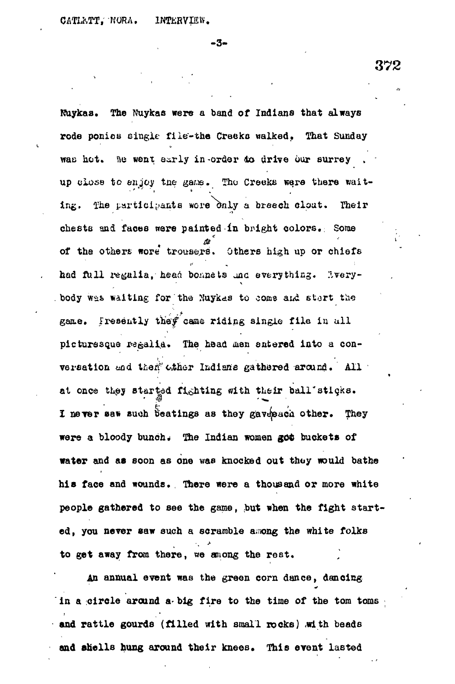- 3 -

Nuykaa. The Nuykaa were a band of Indians that always rode ponies eingle file-the Creekc walked. That Sunday was hot. Be went early in order do drive our surrey . up close to enjoy the game. The Creeks were there waiting. The participants wore only a breech clout. Their cheste and faces were painted in bright colors.: Some of the others wore trousers. Others high up or chiefs had full regulia, head bonnets and everything. livery-. body was waiting for the Nuykas to come and start the game. Iresently they came riding single file in all picturesque regalia. The head men entered into a conversation and then *other* Indians gathered around. All at once they started fighting with their ball'sticks. I never saw such beatings as they gavepach other. They were a bloody bunch. The Indian women got buckets of water and as soon as one wae knocked out thoy would bathe his face and wounds. There were a thousand or more white people gathered to see the game, but when the fight started, you never saw such a scramble among the white folks to get away from there, we among the rest.

An annual event was the green corn dance, dancing in a circle around a big fire to the time of the tom toms and rattle gourds (filled with small rocks) with beads and shells hung around their knees. This event lasted